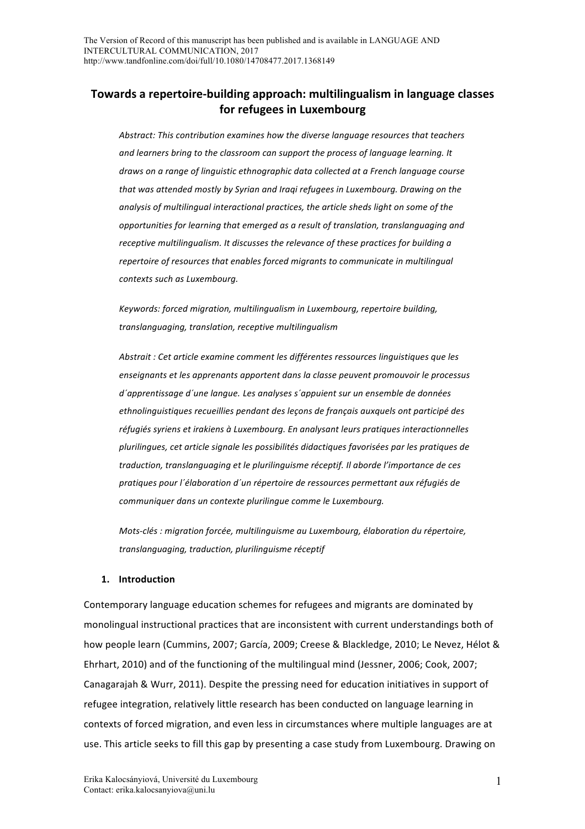# **Towards a repertoire-building approach: multilingualism in language classes** for refugees in Luxembourg

Abstract: This contribution examines how the diverse language resources that teachers and learners bring to the classroom can support the process of language learning. It *draws* on a range of linguistic ethnographic data collected at a French language course that was attended mostly by Syrian and Iraqi refugees in Luxembourg. Drawing on the analysis of multilingual interactional practices, the article sheds light on some of the opportunities for learning that emerged as a result of translation, translanguaging and *receptive multilingualism. It discusses the relevance of these practices for building a repertoire of resources that enables forced migrants to communicate in multilingual contexts such as Luxembourg.*

*Keywords: forced migration, multilingualism in Luxembourg, repertoire building, translanguaging, translation, receptive multilingualism*

Abstrait : Cet article examine comment les différentes ressources linguistiques que les enseignants et les apprenants apportent dans la classe peuvent promouvoir le processus *d´apprentissage d´une langue. Les analyses s´appuient sur un ensemble de données*  ethnolinguistiques recueillies pendant des leçons de français auxquels ont participé des réfugiés syriens et irakiens à Luxembourg. En analysant leurs pratiques interactionnelles plurilingues, cet article signale les possibilités didactiques favorisées par les pratiques de traduction, translanguaging et le plurilinguisme réceptif. Il aborde l'importance de ces pratiques pour l'élaboration d'un répertoire de ressources permettant aux réfugiés de communiquer dans un contexte plurilingue comme le Luxembourg.

*Mots-clés* : migration forcée, multilinguisme au Luxembourg, élaboration du répertoire, *translanguaging, traduction, plurilinguisme réceptif*

### **1. Introduction**

Contemporary language education schemes for refugees and migrants are dominated by monolingual instructional practices that are inconsistent with current understandings both of how people learn (Cummins, 2007; García, 2009; Creese & Blackledge, 2010; Le Nevez, Hélot & Ehrhart, 2010) and of the functioning of the multilingual mind (Jessner, 2006; Cook, 2007; Canagarajah & Wurr, 2011). Despite the pressing need for education initiatives in support of refugee integration, relatively little research has been conducted on language learning in contexts of forced migration, and even less in circumstances where multiple languages are at use. This article seeks to fill this gap by presenting a case study from Luxembourg. Drawing on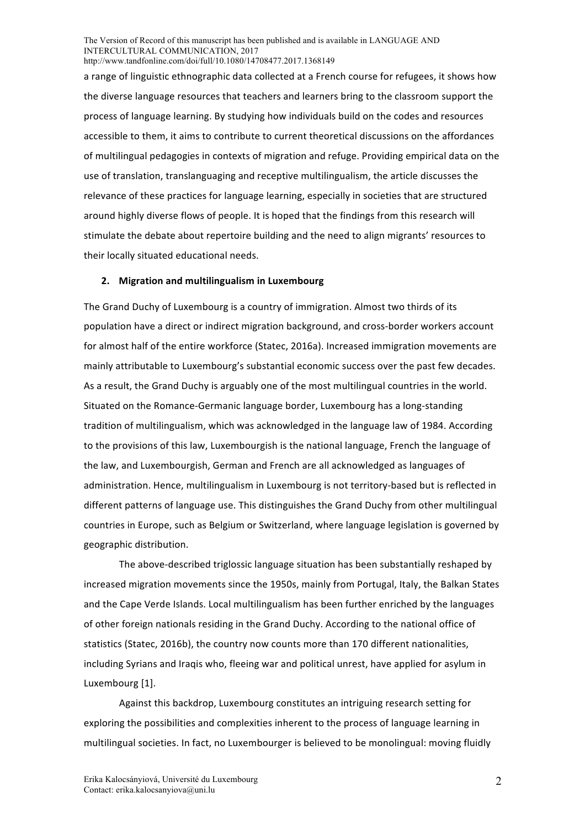a range of linguistic ethnographic data collected at a French course for refugees, it shows how the diverse language resources that teachers and learners bring to the classroom support the process of language learning. By studying how individuals build on the codes and resources accessible to them, it aims to contribute to current theoretical discussions on the affordances of multilingual pedagogies in contexts of migration and refuge. Providing empirical data on the use of translation, translanguaging and receptive multilingualism, the article discusses the relevance of these practices for language learning, especially in societies that are structured around highly diverse flows of people. It is hoped that the findings from this research will stimulate the debate about repertoire building and the need to align migrants' resources to their locally situated educational needs.

#### **2. Migration and multilingualism in Luxembourg**

The Grand Duchy of Luxembourg is a country of immigration. Almost two thirds of its population have a direct or indirect migration background, and cross-border workers account for almost half of the entire workforce (Statec, 2016a). Increased immigration movements are mainly attributable to Luxembourg's substantial economic success over the past few decades. As a result, the Grand Duchy is arguably one of the most multilingual countries in the world. Situated on the Romance-Germanic language border, Luxembourg has a long-standing tradition of multilingualism, which was acknowledged in the language law of 1984. According to the provisions of this law, Luxembourgish is the national language, French the language of the law, and Luxembourgish, German and French are all acknowledged as languages of administration. Hence, multilingualism in Luxembourg is not territory-based but is reflected in different patterns of language use. This distinguishes the Grand Duchy from other multilingual countries in Europe, such as Belgium or Switzerland, where language legislation is governed by geographic distribution. 

The above-described triglossic language situation has been substantially reshaped by increased migration movements since the 1950s, mainly from Portugal, Italy, the Balkan States and the Cape Verde Islands. Local multilingualism has been further enriched by the languages of other foreign nationals residing in the Grand Duchy. According to the national office of statistics (Statec, 2016b), the country now counts more than 170 different nationalities, including Syrians and Iraqis who, fleeing war and political unrest, have applied for asylum in Luxembourg [1].

Against this backdrop, Luxembourg constitutes an intriguing research setting for exploring the possibilities and complexities inherent to the process of language learning in multilingual societies. In fact, no Luxembourger is believed to be monolingual: moving fluidly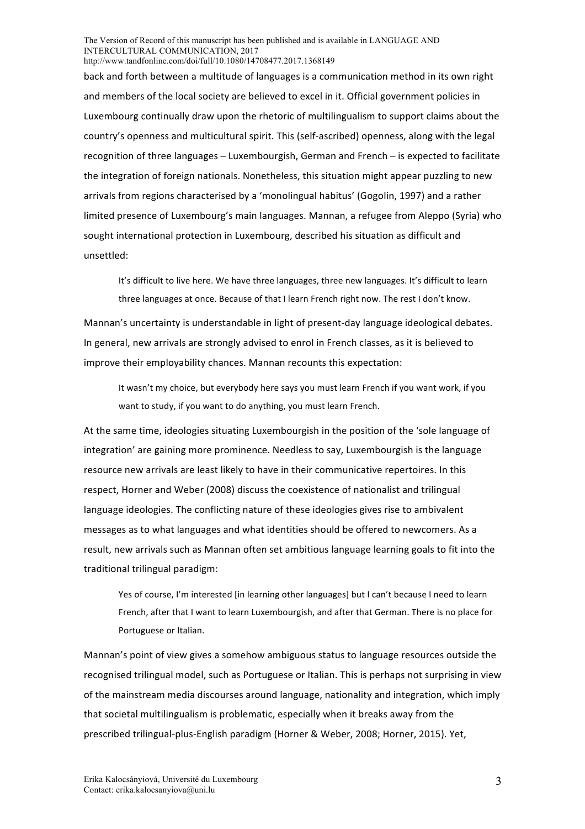back and forth between a multitude of languages is a communication method in its own right and members of the local society are believed to excel in it. Official government policies in Luxembourg continually draw upon the rhetoric of multilingualism to support claims about the country's openness and multicultural spirit. This (self-ascribed) openness, along with the legal recognition of three languages - Luxembourgish, German and French - is expected to facilitate the integration of foreign nationals. Nonetheless, this situation might appear puzzling to new arrivals from regions characterised by a 'monolingual habitus' (Gogolin, 1997) and a rather limited presence of Luxembourg's main languages. Mannan, a refugee from Aleppo (Syria) who sought international protection in Luxembourg, described his situation as difficult and unsettled:

It's difficult to live here. We have three languages, three new languages. It's difficult to learn three languages at once. Because of that I learn French right now. The rest I don't know.

Mannan's uncertainty is understandable in light of present-day language ideological debates. In general, new arrivals are strongly advised to enrol in French classes, as it is believed to improve their employability chances. Mannan recounts this expectation:

It wasn't my choice, but everybody here says you must learn French if you want work, if you want to study, if you want to do anything, you must learn French.

At the same time, ideologies situating Luxembourgish in the position of the 'sole language of integration' are gaining more prominence. Needless to say, Luxembourgish is the language resource new arrivals are least likely to have in their communicative repertoires. In this respect, Horner and Weber (2008) discuss the coexistence of nationalist and trilingual language ideologies. The conflicting nature of these ideologies gives rise to ambivalent messages as to what languages and what identities should be offered to newcomers. As a result, new arrivals such as Mannan often set ambitious language learning goals to fit into the traditional trilingual paradigm:

Yes of course, I'm interested [in learning other languages] but I can't because I need to learn French, after that I want to learn Luxembourgish, and after that German. There is no place for Portuguese or Italian.

Mannan's point of view gives a somehow ambiguous status to language resources outside the recognised trilingual model, such as Portuguese or Italian. This is perhaps not surprising in view of the mainstream media discourses around language, nationality and integration, which imply that societal multilingualism is problematic, especially when it breaks away from the prescribed trilingual-plus-English paradigm (Horner & Weber, 2008; Horner, 2015). Yet,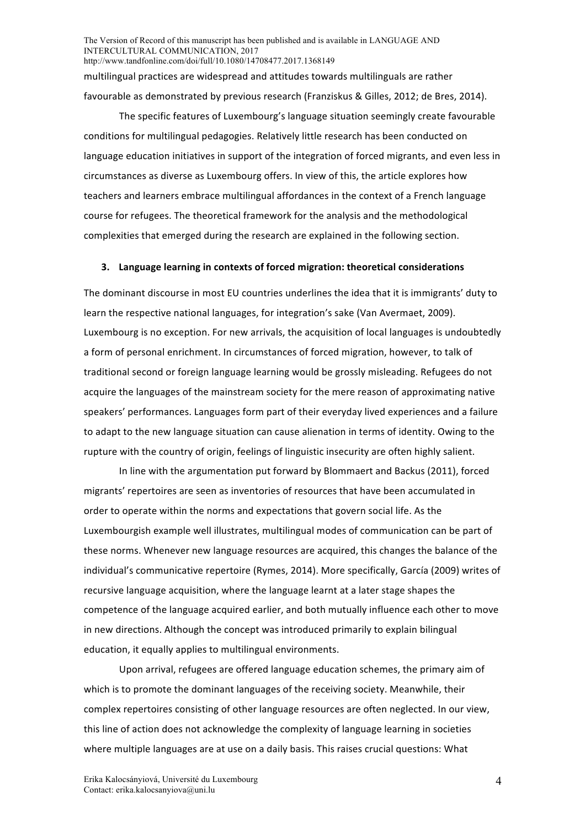The Version of Record of this manuscript has been published and is available in LANGUAGE AND INTERCULTURAL COMMUNICATION, 2017 http://www.tandfonline.com/doi/full/10.1080/14708477.2017.1368149 multilingual practices are widespread and attitudes towards multilinguals are rather favourable as demonstrated by previous research (Franziskus & Gilles, 2012; de Bres, 2014).

The specific features of Luxembourg's language situation seemingly create favourable conditions for multilingual pedagogies. Relatively little research has been conducted on language education initiatives in support of the integration of forced migrants, and even less in circumstances as diverse as Luxembourg offers. In view of this, the article explores how teachers and learners embrace multilingual affordances in the context of a French language course for refugees. The theoretical framework for the analysis and the methodological complexities that emerged during the research are explained in the following section.

#### **3. Language learning in contexts of forced migration: theoretical considerations**

The dominant discourse in most EU countries underlines the idea that it is immigrants' duty to learn the respective national languages, for integration's sake (Van Avermaet, 2009). Luxembourg is no exception. For new arrivals, the acquisition of local languages is undoubtedly a form of personal enrichment. In circumstances of forced migration, however, to talk of traditional second or foreign language learning would be grossly misleading. Refugees do not acquire the languages of the mainstream society for the mere reason of approximating native speakers' performances. Languages form part of their everyday lived experiences and a failure to adapt to the new language situation can cause alienation in terms of identity. Owing to the rupture with the country of origin, feelings of linguistic insecurity are often highly salient.

In line with the argumentation put forward by Blommaert and Backus (2011), forced migrants' repertoires are seen as inventories of resources that have been accumulated in order to operate within the norms and expectations that govern social life. As the Luxembourgish example well illustrates, multilingual modes of communication can be part of these norms. Whenever new language resources are acquired, this changes the balance of the individual's communicative repertoire (Rymes, 2014). More specifically, García (2009) writes of recursive language acquisition, where the language learnt at a later stage shapes the competence of the language acquired earlier, and both mutually influence each other to move in new directions. Although the concept was introduced primarily to explain bilingual education, it equally applies to multilingual environments.

Upon arrival, refugees are offered language education schemes, the primary aim of which is to promote the dominant languages of the receiving society. Meanwhile, their complex repertoires consisting of other language resources are often neglected. In our view, this line of action does not acknowledge the complexity of language learning in societies where multiple languages are at use on a daily basis. This raises crucial questions: What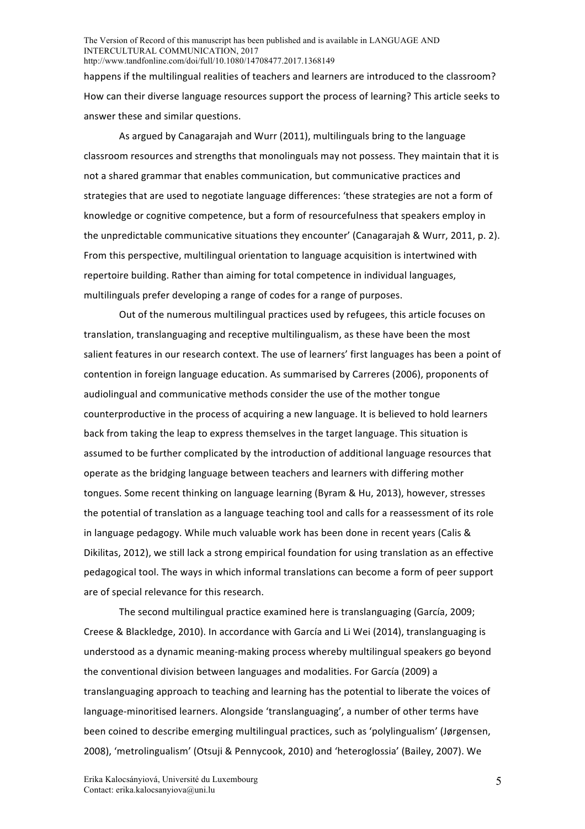happens if the multilingual realities of teachers and learners are introduced to the classroom? How can their diverse language resources support the process of learning? This article seeks to answer these and similar questions.

As argued by Canagarajah and Wurr (2011), multilinguals bring to the language classroom resources and strengths that monolinguals may not possess. They maintain that it is not a shared grammar that enables communication, but communicative practices and strategies that are used to negotiate language differences: 'these strategies are not a form of knowledge or cognitive competence, but a form of resourcefulness that speakers employ in the unpredictable communicative situations they encounter' (Canagarajah & Wurr, 2011, p. 2). From this perspective, multilingual orientation to language acquisition is intertwined with repertoire building. Rather than aiming for total competence in individual languages, multilinguals prefer developing a range of codes for a range of purposes.

Out of the numerous multilingual practices used by refugees, this article focuses on translation, translanguaging and receptive multilingualism, as these have been the most salient features in our research context. The use of learners' first languages has been a point of contention in foreign language education. As summarised by Carreres (2006), proponents of audiolingual and communicative methods consider the use of the mother tongue counterproductive in the process of acquiring a new language. It is believed to hold learners back from taking the leap to express themselves in the target language. This situation is assumed to be further complicated by the introduction of additional language resources that operate as the bridging language between teachers and learners with differing mother tongues. Some recent thinking on language learning (Byram & Hu, 2013), however, stresses the potential of translation as a language teaching tool and calls for a reassessment of its role in language pedagogy. While much valuable work has been done in recent years (Calis & Dikilitas, 2012), we still lack a strong empirical foundation for using translation as an effective pedagogical tool. The ways in which informal translations can become a form of peer support are of special relevance for this research.

The second multilingual practice examined here is translanguaging (García, 2009; Creese & Blackledge, 2010). In accordance with García and Li Wei (2014), translanguaging is understood as a dynamic meaning-making process whereby multilingual speakers go beyond the conventional division between languages and modalities. For García (2009) a translanguaging approach to teaching and learning has the potential to liberate the voices of language-minoritised learners. Alongside 'translanguaging', a number of other terms have been coined to describe emerging multilingual practices, such as 'polylingualism' (Jørgensen, 2008), 'metrolingualism' (Otsuji & Pennycook, 2010) and 'heteroglossia' (Bailey, 2007). We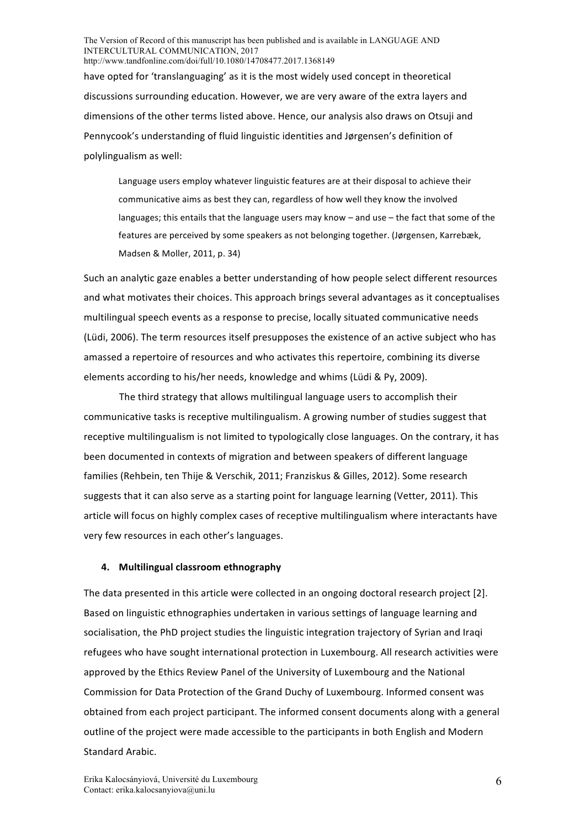have opted for 'translanguaging' as it is the most widely used concept in theoretical discussions surrounding education. However, we are very aware of the extra layers and dimensions of the other terms listed above. Hence, our analysis also draws on Otsuji and Pennycook's understanding of fluid linguistic identities and Jørgensen's definition of polylingualism as well:

Language users employ whatever linguistic features are at their disposal to achieve their communicative aims as best they can, regardless of how well they know the involved languages; this entails that the language users may know  $-$  and use  $-$  the fact that some of the features are perceived by some speakers as not belonging together. (Jørgensen, Karrebæk, Madsen & Moller, 2011, p. 34)

Such an analytic gaze enables a better understanding of how people select different resources and what motivates their choices. This approach brings several advantages as it conceptualises multilingual speech events as a response to precise, locally situated communicative needs (Lüdi, 2006). The term resources itself presupposes the existence of an active subject who has amassed a repertoire of resources and who activates this repertoire, combining its diverse elements according to his/her needs, knowledge and whims (Lüdi & Py, 2009).

The third strategy that allows multilingual language users to accomplish their communicative tasks is receptive multilingualism. A growing number of studies suggest that receptive multilingualism is not limited to typologically close languages. On the contrary, it has been documented in contexts of migration and between speakers of different language families (Rehbein, ten Thije & Verschik, 2011; Franziskus & Gilles, 2012). Some research suggests that it can also serve as a starting point for language learning (Vetter, 2011). This article will focus on highly complex cases of receptive multilingualism where interactants have very few resources in each other's languages.

### **4. Multilingual classroom ethnography**

The data presented in this article were collected in an ongoing doctoral research project [2]. Based on linguistic ethnographies undertaken in various settings of language learning and socialisation, the PhD project studies the linguistic integration trajectory of Syrian and Iraqi refugees who have sought international protection in Luxembourg. All research activities were approved by the Ethics Review Panel of the University of Luxembourg and the National Commission for Data Protection of the Grand Duchy of Luxembourg. Informed consent was obtained from each project participant. The informed consent documents along with a general outline of the project were made accessible to the participants in both English and Modern Standard Arabic.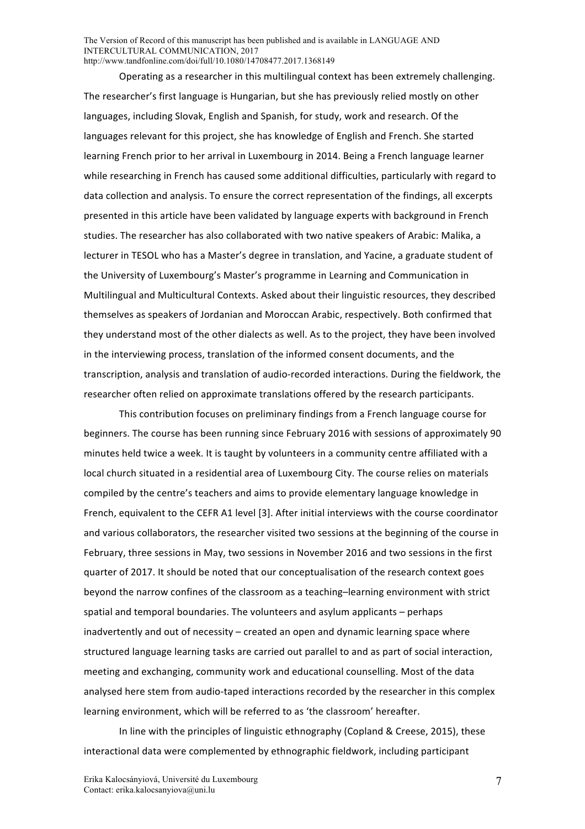Operating as a researcher in this multilingual context has been extremely challenging. The researcher's first language is Hungarian, but she has previously relied mostly on other languages, including Slovak, English and Spanish, for study, work and research. Of the languages relevant for this project, she has knowledge of English and French. She started learning French prior to her arrival in Luxembourg in 2014. Being a French language learner while researching in French has caused some additional difficulties, particularly with regard to data collection and analysis. To ensure the correct representation of the findings, all excerpts presented in this article have been validated by language experts with background in French studies. The researcher has also collaborated with two native speakers of Arabic: Malika, a lecturer in TESOL who has a Master's degree in translation, and Yacine, a graduate student of the University of Luxembourg's Master's programme in Learning and Communication in Multilingual and Multicultural Contexts. Asked about their linguistic resources, they described themselves as speakers of Jordanian and Moroccan Arabic, respectively. Both confirmed that they understand most of the other dialects as well. As to the project, they have been involved in the interviewing process, translation of the informed consent documents, and the transcription, analysis and translation of audio-recorded interactions. During the fieldwork, the researcher often relied on approximate translations offered by the research participants.

This contribution focuses on preliminary findings from a French language course for beginners. The course has been running since February 2016 with sessions of approximately 90 minutes held twice a week. It is taught by volunteers in a community centre affiliated with a local church situated in a residential area of Luxembourg City. The course relies on materials compiled by the centre's teachers and aims to provide elementary language knowledge in French, equivalent to the CEFR A1 level [3]. After initial interviews with the course coordinator and various collaborators, the researcher visited two sessions at the beginning of the course in February, three sessions in May, two sessions in November 2016 and two sessions in the first quarter of 2017. It should be noted that our conceptualisation of the research context goes beyond the narrow confines of the classroom as a teaching-learning environment with strict spatial and temporal boundaries. The volunteers and asylum applicants  $-$  perhaps inadvertently and out of necessity – created an open and dynamic learning space where structured language learning tasks are carried out parallel to and as part of social interaction, meeting and exchanging, community work and educational counselling. Most of the data analysed here stem from audio-taped interactions recorded by the researcher in this complex learning environment, which will be referred to as 'the classroom' hereafter.

In line with the principles of linguistic ethnography (Copland & Creese, 2015), these interactional data were complemented by ethnographic fieldwork, including participant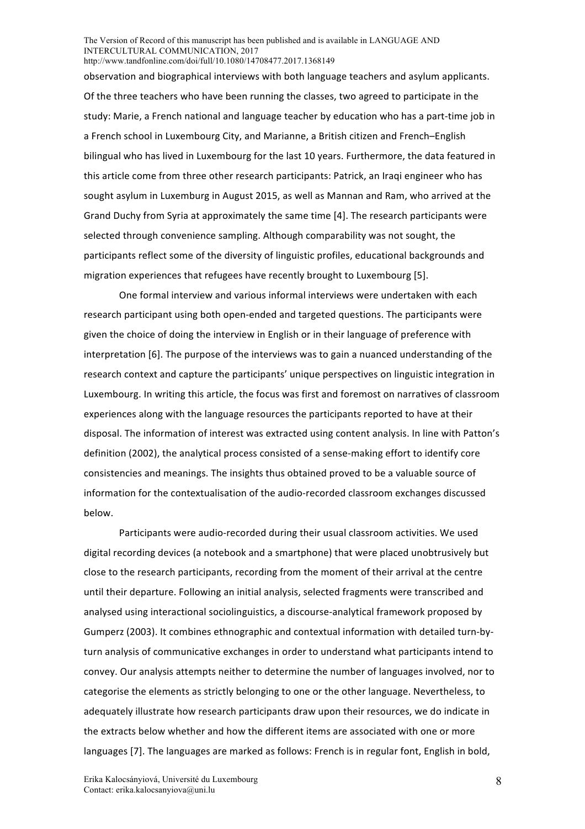observation and biographical interviews with both language teachers and asylum applicants. Of the three teachers who have been running the classes, two agreed to participate in the study: Marie, a French national and language teacher by education who has a part-time job in a French school in Luxembourg City, and Marianne, a British citizen and French–English bilingual who has lived in Luxembourg for the last 10 years. Furthermore, the data featured in this article come from three other research participants: Patrick, an Iraqi engineer who has sought asylum in Luxemburg in August 2015, as well as Mannan and Ram, who arrived at the Grand Duchy from Syria at approximately the same time [4]. The research participants were selected through convenience sampling. Although comparability was not sought, the participants reflect some of the diversity of linguistic profiles, educational backgrounds and migration experiences that refugees have recently brought to Luxembourg [5].

One formal interview and various informal interviews were undertaken with each research participant using both open-ended and targeted questions. The participants were given the choice of doing the interview in English or in their language of preference with interpretation [6]. The purpose of the interviews was to gain a nuanced understanding of the research context and capture the participants' unique perspectives on linguistic integration in Luxembourg. In writing this article, the focus was first and foremost on narratives of classroom experiences along with the language resources the participants reported to have at their disposal. The information of interest was extracted using content analysis. In line with Patton's definition (2002), the analytical process consisted of a sense-making effort to identify core consistencies and meanings. The insights thus obtained proved to be a valuable source of information for the contextualisation of the audio-recorded classroom exchanges discussed below.

Participants were audio-recorded during their usual classroom activities. We used digital recording devices (a notebook and a smartphone) that were placed unobtrusively but close to the research participants, recording from the moment of their arrival at the centre until their departure. Following an initial analysis, selected fragments were transcribed and analysed using interactional sociolinguistics, a discourse-analytical framework proposed by Gumperz (2003). It combines ethnographic and contextual information with detailed turn-byturn analysis of communicative exchanges in order to understand what participants intend to convey. Our analysis attempts neither to determine the number of languages involved, nor to categorise the elements as strictly belonging to one or the other language. Nevertheless, to adequately illustrate how research participants draw upon their resources, we do indicate in the extracts below whether and how the different items are associated with one or more languages [7]. The languages are marked as follows: French is in regular font, English in bold,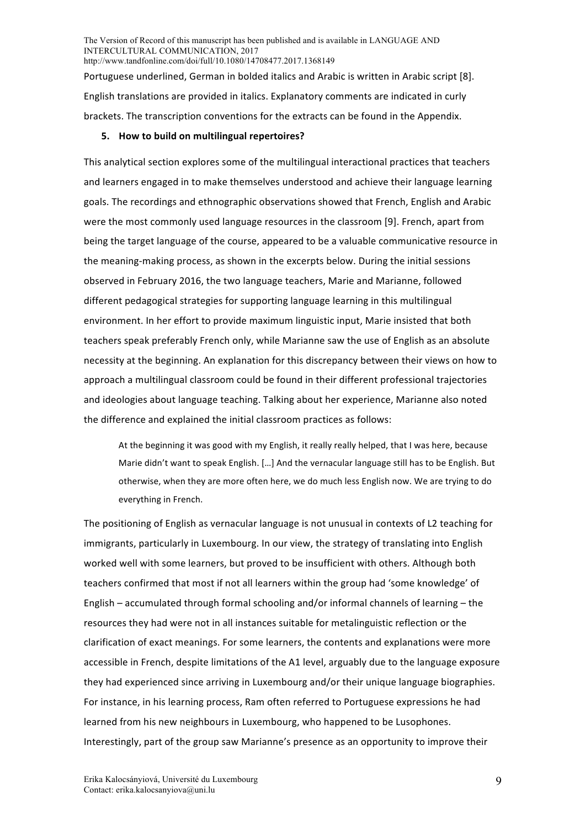Portuguese underlined, German in bolded italics and Arabic is written in Arabic script [8]. English translations are provided in italics. Explanatory comments are indicated in curly brackets. The transcription conventions for the extracts can be found in the Appendix.

### **5.** How to build on multilingual repertoires?

This analytical section explores some of the multilingual interactional practices that teachers and learners engaged in to make themselves understood and achieve their language learning goals. The recordings and ethnographic observations showed that French, English and Arabic were the most commonly used language resources in the classroom [9]. French, apart from being the target language of the course, appeared to be a valuable communicative resource in the meaning-making process, as shown in the excerpts below. During the initial sessions observed in February 2016, the two language teachers, Marie and Marianne, followed different pedagogical strategies for supporting language learning in this multilingual environment. In her effort to provide maximum linguistic input, Marie insisted that both teachers speak preferably French only, while Marianne saw the use of English as an absolute necessity at the beginning. An explanation for this discrepancy between their views on how to approach a multilingual classroom could be found in their different professional trajectories and ideologies about language teaching. Talking about her experience, Marianne also noted the difference and explained the initial classroom practices as follows:

At the beginning it was good with my English, it really really helped, that I was here, because Marie didn't want to speak English. [...] And the vernacular language still has to be English. But otherwise, when they are more often here, we do much less English now. We are trying to do everything in French.

The positioning of English as vernacular language is not unusual in contexts of L2 teaching for immigrants, particularly in Luxembourg. In our view, the strategy of translating into English worked well with some learners, but proved to be insufficient with others. Although both teachers confirmed that most if not all learners within the group had 'some knowledge' of English – accumulated through formal schooling and/or informal channels of learning – the resources they had were not in all instances suitable for metalinguistic reflection or the clarification of exact meanings. For some learners, the contents and explanations were more accessible in French, despite limitations of the A1 level, arguably due to the language exposure they had experienced since arriving in Luxembourg and/or their unique language biographies. For instance, in his learning process, Ram often referred to Portuguese expressions he had learned from his new neighbours in Luxembourg, who happened to be Lusophones. Interestingly, part of the group saw Marianne's presence as an opportunity to improve their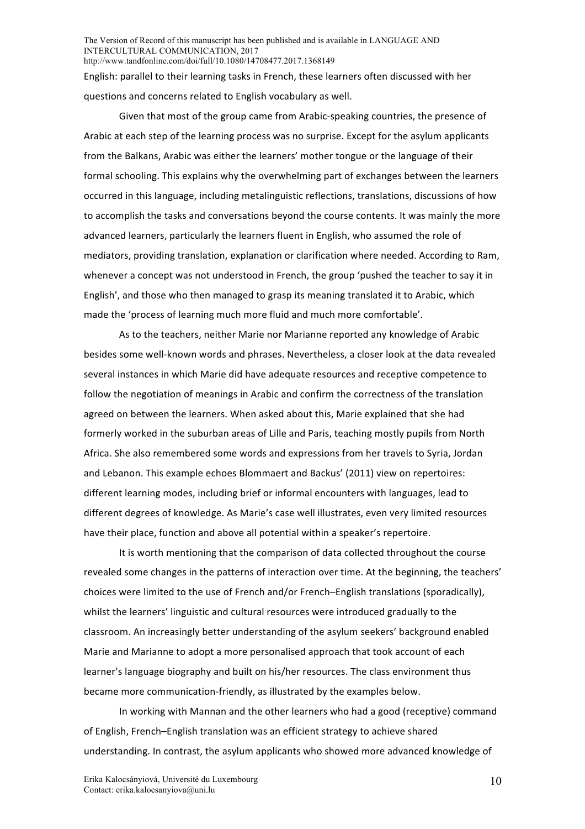English: parallel to their learning tasks in French, these learners often discussed with her questions and concerns related to English vocabulary as well.

Given that most of the group came from Arabic-speaking countries, the presence of Arabic at each step of the learning process was no surprise. Except for the asylum applicants from the Balkans, Arabic was either the learners' mother tongue or the language of their formal schooling. This explains why the overwhelming part of exchanges between the learners occurred in this language, including metalinguistic reflections, translations, discussions of how to accomplish the tasks and conversations beyond the course contents. It was mainly the more advanced learners, particularly the learners fluent in English, who assumed the role of mediators, providing translation, explanation or clarification where needed. According to Ram, whenever a concept was not understood in French, the group 'pushed the teacher to say it in English', and those who then managed to grasp its meaning translated it to Arabic, which made the 'process of learning much more fluid and much more comfortable'.

As to the teachers, neither Marie nor Marianne reported any knowledge of Arabic besides some well-known words and phrases. Nevertheless, a closer look at the data revealed several instances in which Marie did have adequate resources and receptive competence to follow the negotiation of meanings in Arabic and confirm the correctness of the translation agreed on between the learners. When asked about this, Marie explained that she had formerly worked in the suburban areas of Lille and Paris, teaching mostly pupils from North Africa. She also remembered some words and expressions from her travels to Syria, Jordan and Lebanon. This example echoes Blommaert and Backus' (2011) view on repertoires: different learning modes, including brief or informal encounters with languages, lead to different degrees of knowledge. As Marie's case well illustrates, even very limited resources have their place, function and above all potential within a speaker's repertoire.

It is worth mentioning that the comparison of data collected throughout the course revealed some changes in the patterns of interaction over time. At the beginning, the teachers' choices were limited to the use of French and/or French–English translations (sporadically), whilst the learners' linguistic and cultural resources were introduced gradually to the classroom. An increasingly better understanding of the asylum seekers' background enabled Marie and Marianne to adopt a more personalised approach that took account of each learner's language biography and built on his/her resources. The class environment thus became more communication-friendly, as illustrated by the examples below.

In working with Mannan and the other learners who had a good (receptive) command of English, French–English translation was an efficient strategy to achieve shared understanding. In contrast, the asylum applicants who showed more advanced knowledge of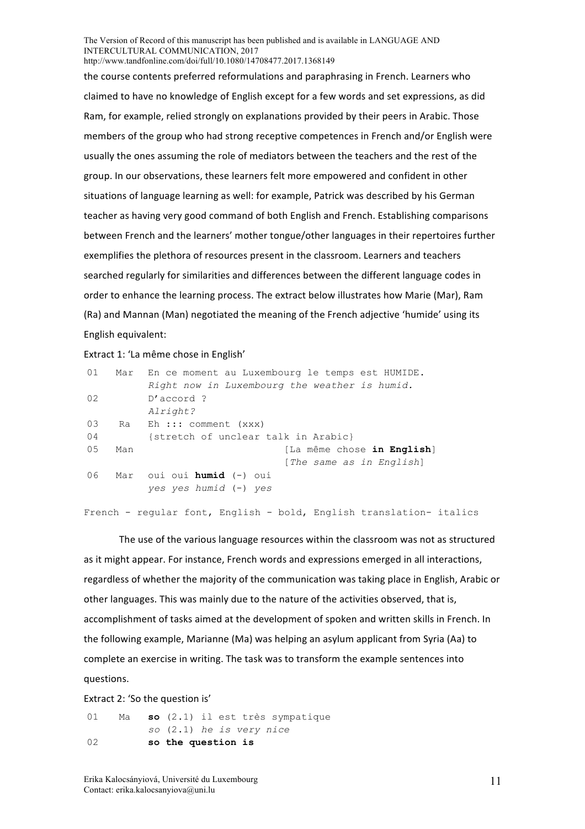the course contents preferred reformulations and paraphrasing in French. Learners who claimed to have no knowledge of English except for a few words and set expressions, as did Ram, for example, relied strongly on explanations provided by their peers in Arabic. Those members of the group who had strong receptive competences in French and/or English were usually the ones assuming the role of mediators between the teachers and the rest of the group. In our observations, these learners felt more empowered and confident in other situations of language learning as well: for example, Patrick was described by his German teacher as having very good command of both English and French. Establishing comparisons between French and the learners' mother tongue/other languages in their repertoires further exemplifies the plethora of resources present in the classroom. Learners and teachers searched regularly for similarities and differences between the different language codes in order to enhance the learning process. The extract below illustrates how Marie (Mar), Ram (Ra) and Mannan (Man) negotiated the meaning of the French adjective 'humide' using its English equivalent: 

Extract 1: 'La même chose in English'

| 01 | Mar | En ce moment au Luxembourg le temps est HUMIDE.                     |
|----|-----|---------------------------------------------------------------------|
|    |     | Right now in Luxembourg the weather is humid.                       |
| 02 |     | $D'$ accord ?                                                       |
|    |     | Alright?                                                            |
| 03 |     | Ra Eh ::: comment (xxx)                                             |
| 04 |     | {stretch of unclear talk in Arabic}                                 |
| 05 | Man | [La même chose in English]                                          |
|    |     | [The same as in English]                                            |
| 06 |     | Mar oui oui <b>humid</b> (-) oui                                    |
|    |     | yes yes humid (-) yes                                               |
|    |     |                                                                     |
|    |     | French - reqular font, English - bold, English translation- italics |

The use of the various language resources within the classroom was not as structured as it might appear. For instance, French words and expressions emerged in all interactions, regardless of whether the majority of the communication was taking place in English, Arabic or other languages. This was mainly due to the nature of the activities observed, that is, accomplishment of tasks aimed at the development of spoken and written skills in French. In the following example, Marianne (Ma) was helping an asylum applicant from Syria (Aa) to complete an exercise in writing. The task was to transform the example sentences into questions. 

Extract 2: 'So the question is'

01 Ma **so** (2.1) il est très sympatique *so* (2.1) *he is very nice*  02 **so the question is**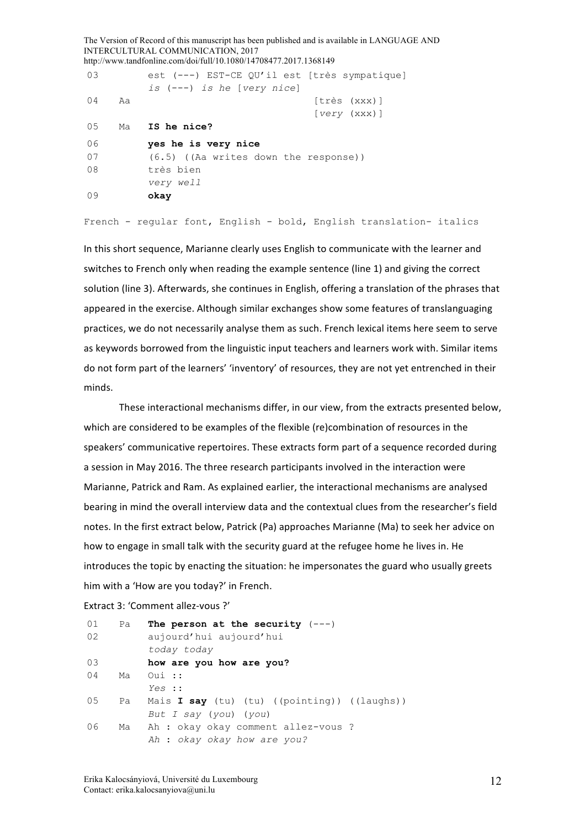The Version of Record of this manuscript has been published and is available in LANGUAGE AND INTERCULTURAL COMMUNICATION, 2017 http://www.tandfonline.com/doi/full/10.1080/14708477.2017.1368149 03 est (---) EST-CE QU'il est [très sympatique] *is* (---) *is he* [*very nice*] 04 Aa [très (xxx)] [*very* (xxx)] 05 Ma **IS he nice?** 06 **yes he is very nice** 07 (6.5) ((Aa writes down the response)) 08 très bien *very well* 09 **okay**

French - regular font, English - bold, English translation- italics

In this short sequence, Marianne clearly uses English to communicate with the learner and switches to French only when reading the example sentence (line 1) and giving the correct solution (line 3). Afterwards, she continues in English, offering a translation of the phrases that appeared in the exercise. Although similar exchanges show some features of translanguaging practices, we do not necessarily analyse them as such. French lexical items here seem to serve as keywords borrowed from the linguistic input teachers and learners work with. Similar items do not form part of the learners' 'inventory' of resources, they are not yet entrenched in their minds. 

These interactional mechanisms differ, in our view, from the extracts presented below, which are considered to be examples of the flexible (re)combination of resources in the speakers' communicative repertoires. These extracts form part of a sequence recorded during a session in May 2016. The three research participants involved in the interaction were Marianne, Patrick and Ram. As explained earlier, the interactional mechanisms are analysed bearing in mind the overall interview data and the contextual clues from the researcher's field notes. In the first extract below, Patrick (Pa) approaches Marianne (Ma) to seek her advice on how to engage in small talk with the security guard at the refugee home he lives in. He introduces the topic by enacting the situation: he impersonates the guard who usually greets him with a 'How are you today?' in French.

```
Extract 3: 'Comment allez-vous ?'
```

| 01 | Pa | The person at the security $(---)$                  |
|----|----|-----------------------------------------------------|
| 02 |    | aujourd'hui aujourd'hui                             |
|    |    | today today                                         |
| 03 |    | how are you how are you?                            |
| 04 | Ma | Oui ::                                              |
|    |    | Yes ::                                              |
| 05 | Pa | Mais <b>I say</b> (tu) (tu) ((pointing)) ((laughs)) |
|    |    | But I say (you) (you)                               |
| 06 |    | Ma Ah : okay okay comment allez-vous ?              |
|    |    | Ah : okay okay how are you?                         |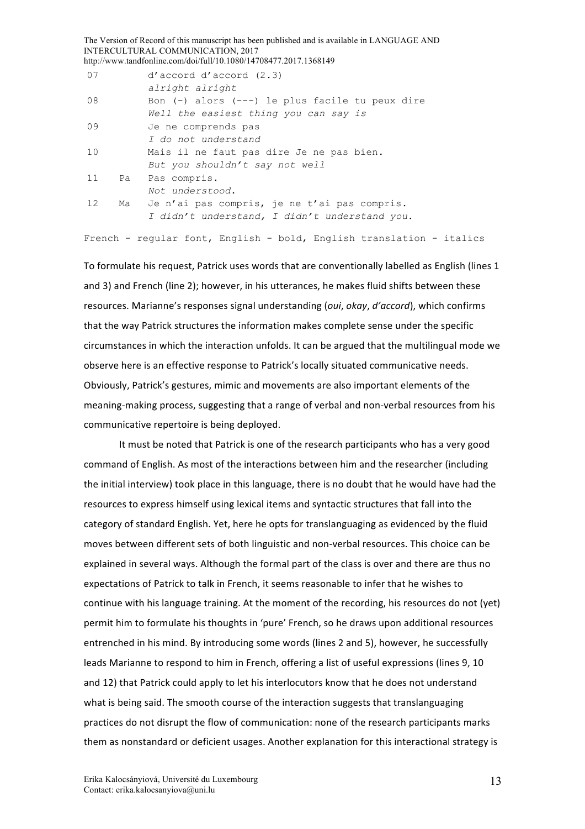The Version of Record of this manuscript has been published and is available in LANGUAGE AND INTERCULTURAL COMMUNICATION, 2017 http://www.tandfonline.com/doi/full/10.1080/14708477.2017.1368149 07 d'accord d'accord (2.3) *alright alright* 08 Bon (-) alors (---) le plus facile tu peux dire *Well the easiest thing you can say is* 09 Je ne comprends pas *I do not understand* 10 Mais il ne faut pas dire Je ne pas bien. *But you shouldn't say not well* 11 Pa Pas compris. *Not understood*. 12 Ma Je n'ai pas compris, je ne t'ai pas compris. *I didn't understand, I didn't understand you.* French - regular font, English - bold, English translation - italics

To formulate his request, Patrick uses words that are conventionally labelled as English (lines 1 and 3) and French (line 2); however, in his utterances, he makes fluid shifts between these resources. Marianne's responses signal understanding (oui, okay, d'accord), which confirms that the way Patrick structures the information makes complete sense under the specific circumstances in which the interaction unfolds. It can be argued that the multilingual mode we observe here is an effective response to Patrick's locally situated communicative needs. Obviously, Patrick's gestures, mimic and movements are also important elements of the meaning-making process, suggesting that a range of verbal and non-verbal resources from his communicative repertoire is being deployed.

It must be noted that Patrick is one of the research participants who has a very good command of English. As most of the interactions between him and the researcher (including the initial interview) took place in this language, there is no doubt that he would have had the resources to express himself using lexical items and syntactic structures that fall into the category of standard English. Yet, here he opts for translanguaging as evidenced by the fluid moves between different sets of both linguistic and non-verbal resources. This choice can be explained in several ways. Although the formal part of the class is over and there are thus no expectations of Patrick to talk in French, it seems reasonable to infer that he wishes to continue with his language training. At the moment of the recording, his resources do not (yet) permit him to formulate his thoughts in 'pure' French, so he draws upon additional resources entrenched in his mind. By introducing some words (lines 2 and 5), however, he successfully leads Marianne to respond to him in French, offering a list of useful expressions (lines 9, 10 and 12) that Patrick could apply to let his interlocutors know that he does not understand what is being said. The smooth course of the interaction suggests that translanguaging practices do not disrupt the flow of communication: none of the research participants marks them as nonstandard or deficient usages. Another explanation for this interactional strategy is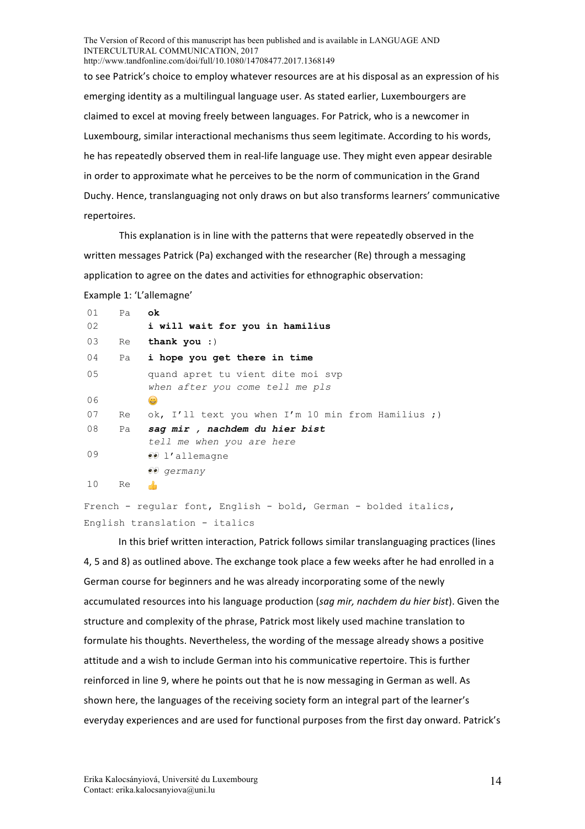to see Patrick's choice to employ whatever resources are at his disposal as an expression of his emerging identity as a multilingual language user. As stated earlier, Luxembourgers are claimed to excel at moving freely between languages. For Patrick, who is a newcomer in Luxembourg, similar interactional mechanisms thus seem legitimate. According to his words, he has repeatedly observed them in real-life language use. They might even appear desirable in order to approximate what he perceives to be the norm of communication in the Grand Duchy. Hence, translanguaging not only draws on but also transforms learners' communicative repertoires.

This explanation is in line with the patterns that were repeatedly observed in the written messages Patrick (Pa) exchanged with the researcher (Re) through a messaging application to agree on the dates and activities for ethnographic observation:

Example 1: 'L'allemagne'

|    | i will wait for you in hamilius                                      |
|----|----------------------------------------------------------------------|
| Re | thank you $:$                                                        |
|    | Pa i hope you get there in time                                      |
|    | quand apret tu vient dite moi svp<br>when after you come tell me pls |
|    | ۲                                                                    |
| Re | ok, I'll text you when I'm 10 min from Hamilius ;)                   |
| Pa | sag mir, nachdem du hier bist                                        |
|    | tell me when you are here                                            |
|    | $\ell$ 1'allemagne                                                   |
|    | $\ddot{e}$ <i>germany</i>                                            |
| Re | ▟▖                                                                   |
|    |                                                                      |

```
French - regular font, English - bold, German - bolded italics, 
English translation - italics
```
In this brief written interaction, Patrick follows similar translanguaging practices (lines 4, 5 and 8) as outlined above. The exchange took place a few weeks after he had enrolled in a German course for beginners and he was already incorporating some of the newly accumulated resources into his language production (sag mir, nachdem du hier bist). Given the structure and complexity of the phrase, Patrick most likely used machine translation to formulate his thoughts. Nevertheless, the wording of the message already shows a positive attitude and a wish to include German into his communicative repertoire. This is further reinforced in line 9, where he points out that he is now messaging in German as well. As shown here, the languages of the receiving society form an integral part of the learner's everyday experiences and are used for functional purposes from the first day onward. Patrick's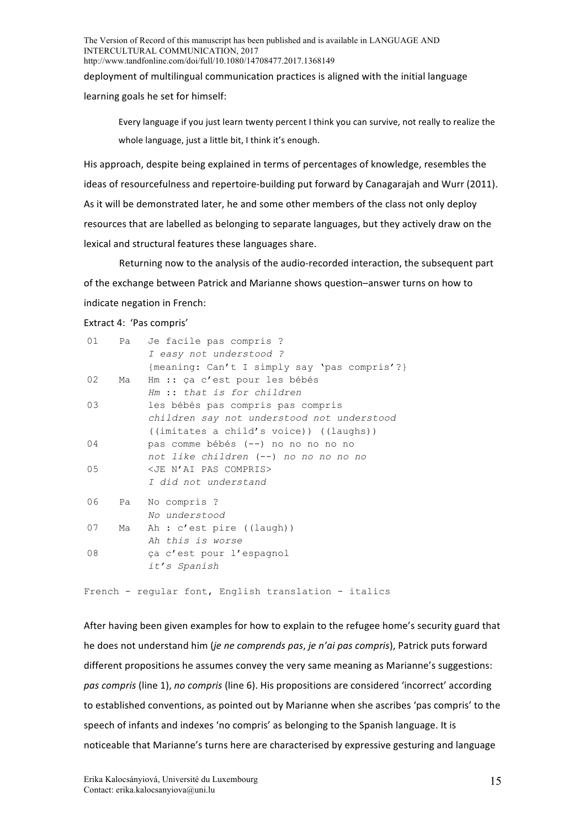deployment of multilingual communication practices is aligned with the initial language learning goals he set for himself:

Every language if you just learn twenty percent I think you can survive, not really to realize the whole language, just a little bit, I think it's enough.

His approach, despite being explained in terms of percentages of knowledge, resembles the ideas of resourcefulness and repertoire-building put forward by Canagarajah and Wurr (2011). As it will be demonstrated later, he and some other members of the class not only deploy resources that are labelled as belonging to separate languages, but they actively draw on the lexical and structural features these languages share.

Returning now to the analysis of the audio-recorded interaction, the subsequent part of the exchange between Patrick and Marianne shows question–answer turns on how to indicate negation in French:

#### Extract 4: 'Pas compris'

| 01 | Pa | Je facile pas compris ?<br>I easy not understood ?                                                                         |
|----|----|----------------------------------------------------------------------------------------------------------------------------|
|    |    | {meaning: Can't I simply say 'pas compris'?}                                                                               |
| 02 | Ma | Hm :: ça c'est pour les bébés<br>Hm :: that is for children                                                                |
| 03 |    | les bébés pas compris pas compris<br>children say not understood not understood<br>((imitates a child's voice)) ((laughs)) |
| 04 |    | pas comme bébés (--) no no no no no<br>not like children (--) no no no no no                                               |
| 05 |    | <je compris="" n'ai="" pas=""><br/>I did not understand</je>                                                               |
| 06 |    | Pa No compris ?<br>No understood                                                                                           |
| 07 | Ma | Ah : c'est pire ((laugh))<br>Ah this is worse                                                                              |
| 08 |    | ça c'est pour l'espagnol<br>it's Spanish                                                                                   |

French - regular font, English translation - italics

After having been given examples for how to explain to the refugee home's security guard that he does not understand him (*je ne comprends pas, je n'ai pas compris*), Patrick puts forward different propositions he assumes convey the very same meaning as Marianne's suggestions: *pas compris* (line 1), *no compris* (line 6). His propositions are considered 'incorrect' according to established conventions, as pointed out by Marianne when she ascribes 'pas compris' to the speech of infants and indexes 'no compris' as belonging to the Spanish language. It is noticeable that Marianne's turns here are characterised by expressive gesturing and language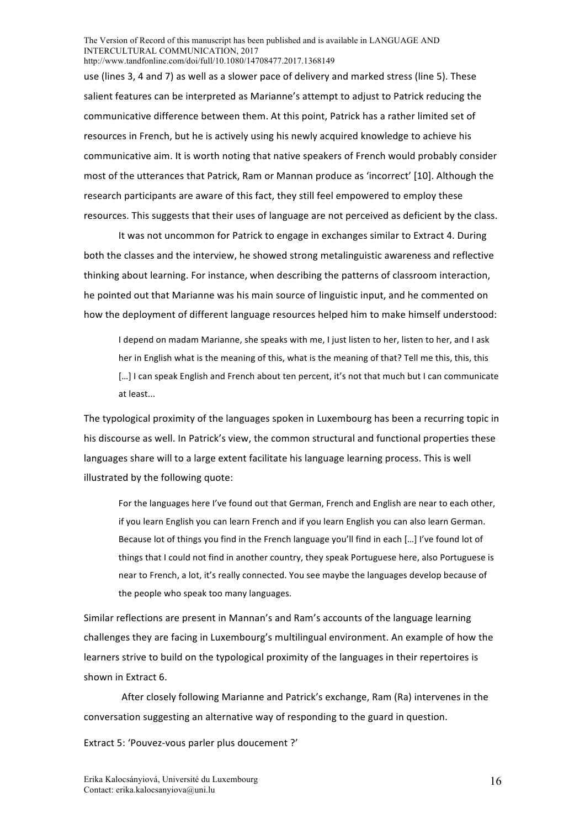use (lines 3, 4 and 7) as well as a slower pace of delivery and marked stress (line 5). These salient features can be interpreted as Marianne's attempt to adjust to Patrick reducing the communicative difference between them. At this point, Patrick has a rather limited set of resources in French, but he is actively using his newly acquired knowledge to achieve his communicative aim. It is worth noting that native speakers of French would probably consider most of the utterances that Patrick, Ram or Mannan produce as 'incorrect' [10]. Although the research participants are aware of this fact, they still feel empowered to employ these resources. This suggests that their uses of language are not perceived as deficient by the class.

It was not uncommon for Patrick to engage in exchanges similar to Extract 4. During both the classes and the interview, he showed strong metalinguistic awareness and reflective thinking about learning. For instance, when describing the patterns of classroom interaction, he pointed out that Marianne was his main source of linguistic input, and he commented on how the deployment of different language resources helped him to make himself understood:

I depend on madam Marianne, she speaks with me, I just listen to her, listen to her, and I ask her in English what is the meaning of this, what is the meaning of that? Tell me this, this, this [...] I can speak English and French about ten percent, it's not that much but I can communicate at least...

The typological proximity of the languages spoken in Luxembourg has been a recurring topic in his discourse as well. In Patrick's view, the common structural and functional properties these languages share will to a large extent facilitate his language learning process. This is well illustrated by the following quote:

For the languages here I've found out that German, French and English are near to each other, if you learn English you can learn French and if you learn English you can also learn German. Because lot of things you find in the French language you'll find in each [...] I've found lot of things that I could not find in another country, they speak Portuguese here, also Portuguese is near to French, a lot, it's really connected. You see maybe the languages develop because of the people who speak too many languages.

Similar reflections are present in Mannan's and Ram's accounts of the language learning challenges they are facing in Luxembourg's multilingual environment. An example of how the learners strive to build on the typological proximity of the languages in their repertoires is shown in Extract 6.

After closely following Marianne and Patrick's exchange, Ram (Ra) intervenes in the conversation suggesting an alternative way of responding to the guard in question.

Extract 5: 'Pouvez-vous parler plus doucement ?'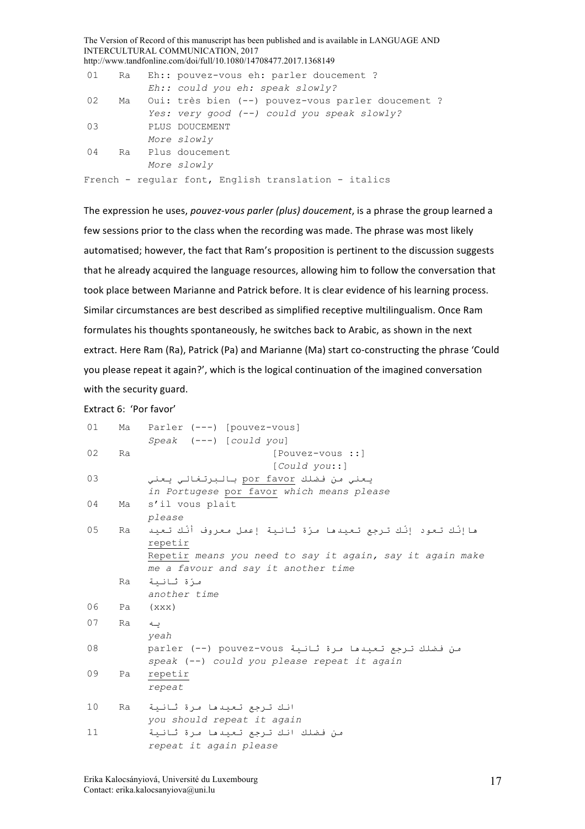The Version of Record of this manuscript has been published and is available in LANGUAGE AND INTERCULTURAL COMMUNICATION, 2017 http://www.tandfonline.com/doi/full/10.1080/14708477.2017.1368149 01 Ra Eh: : pouvez-vous eh: parler doucement ? *Eh:: could you eh: speak slowly?* 02 Ma Oui: très bien (--) pouvez-vous parler doucement ? *Yes: very good (--) could you speak slowly?* 03 PLUS DOUCEMENT *More slowly* 04 Ra Plus doucement *More slowly* French - regular font, English translation - italics

The expression he uses, *pouvez-vous parler (plus) doucement*, is a phrase the group learned a few sessions prior to the class when the recording was made. The phrase was most likely automatised; however, the fact that Ram's proposition is pertinent to the discussion suggests that he already acquired the language resources, allowing him to follow the conversation that took place between Marianne and Patrick before. It is clear evidence of his learning process. Similar circumstances are best described as simplified receptive multilingualism. Once Ram formulates his thoughts spontaneously, he switches back to Arabic, as shown in the next extract. Here Ram (Ra), Patrick (Pa) and Marianne (Ma) start co-constructing the phrase 'Could you please repeat it again?', which is the logical continuation of the imagined conversation with the security guard.

| Extract 6: 'Por favor' |  |  |
|------------------------|--|--|
|------------------------|--|--|

| 01       | Ma | Parler (---) [pouvez-vous]<br>$Speak$ $(---)$ $[could you]$         |
|----------|----|---------------------------------------------------------------------|
| 02       | Ra | [Pouvez-vous ::]                                                    |
|          |    | $[Could$ $you$ ::                                                   |
| 03       |    | يعني من فضلك por favor بالبرتغالي يعني                              |
|          |    | in Portugese por favor which means please                           |
| 04       | Ma | s'il vous plait                                                     |
|          |    | please                                                              |
| 05<br>Ra |    | هاإنَّك تعود إنَّك تـرجع تعيدها مـرَة ثانـية إعمل معروف أنَّك تـعيد |
|          |    | repetir                                                             |
|          |    | Repetir means you need to say it again, say it again make           |
|          |    | me a favour and say it another time                                 |
|          | Ra | مـزة ثانية                                                          |
|          |    | another time                                                        |
| 06       | Pa | (xxx)                                                               |
| 07       | Ra | ىــە                                                                |
|          |    | yeah                                                                |
| 08       |    | من فضلك ترجع تعيدها مرة ثانية parler (--) pouvez-vous               |
|          |    | speak (--) could you please repeat it again                         |
| 09       | Pa | repetir                                                             |
|          |    | repeat                                                              |
| 10       | Ra | انك ترجع تعندها مرة ثاننة                                           |
|          |    | you should repeat it again                                          |
| 11       |    | من فضلك انك ترجع تعيدها مرة ثانية                                   |
|          |    | repeat it again please                                              |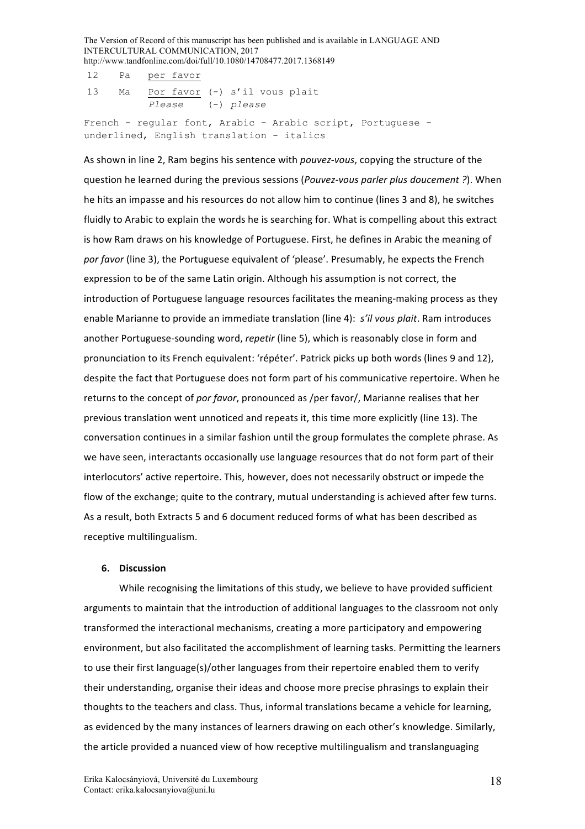|  | 12 Pa per favor                                             |
|--|-------------------------------------------------------------|
|  | 13 Ma Por favor (-) s'il vous plait                         |
|  | Please (-) please                                           |
|  | French - reqular font, Arabic - Arabic script, Portuquese - |
|  | underlined, English translation - italics                   |

As shown in line 2, Ram begins his sentence with *pouvez-vous*, copying the structure of the question he learned during the previous sessions (*Pouvez-vous parler plus doucement?*). When he hits an impasse and his resources do not allow him to continue (lines 3 and 8), he switches fluidly to Arabic to explain the words he is searching for. What is compelling about this extract is how Ram draws on his knowledge of Portuguese. First, he defines in Arabic the meaning of por favor (line 3), the Portuguese equivalent of 'please'. Presumably, he expects the French expression to be of the same Latin origin. Although his assumption is not correct, the introduction of Portuguese language resources facilitates the meaning-making process as they enable Marianne to provide an immediate translation (line 4): *s'il vous plait*. Ram introduces another Portuguese-sounding word, *repetir* (line 5), which is reasonably close in form and pronunciation to its French equivalent: 'répéter'. Patrick picks up both words (lines 9 and 12), despite the fact that Portuguese does not form part of his communicative repertoire. When he returns to the concept of *por favor*, pronounced as /per favor/, Marianne realises that her previous translation went unnoticed and repeats it, this time more explicitly (line 13). The conversation continues in a similar fashion until the group formulates the complete phrase. As we have seen, interactants occasionally use language resources that do not form part of their interlocutors' active repertoire. This, however, does not necessarily obstruct or impede the flow of the exchange; quite to the contrary, mutual understanding is achieved after few turns. As a result, both Extracts 5 and 6 document reduced forms of what has been described as receptive multilingualism.

### **6. Discussion**

While recognising the limitations of this study, we believe to have provided sufficient arguments to maintain that the introduction of additional languages to the classroom not only transformed the interactional mechanisms, creating a more participatory and empowering environment, but also facilitated the accomplishment of learning tasks. Permitting the learners to use their first language(s)/other languages from their repertoire enabled them to verify their understanding, organise their ideas and choose more precise phrasings to explain their thoughts to the teachers and class. Thus, informal translations became a vehicle for learning, as evidenced by the many instances of learners drawing on each other's knowledge. Similarly, the article provided a nuanced view of how receptive multilingualism and translanguaging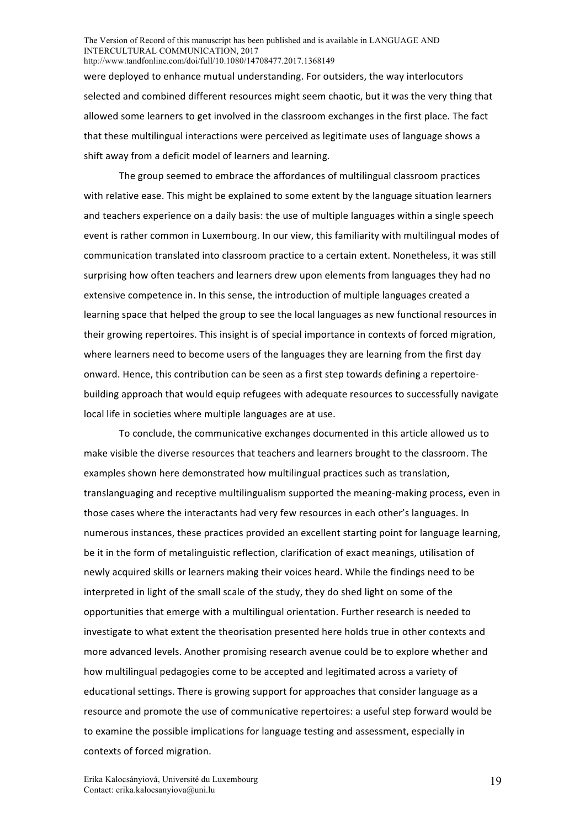were deployed to enhance mutual understanding. For outsiders, the way interlocutors selected and combined different resources might seem chaotic, but it was the very thing that allowed some learners to get involved in the classroom exchanges in the first place. The fact that these multilingual interactions were perceived as legitimate uses of language shows a shift away from a deficit model of learners and learning.

The group seemed to embrace the affordances of multilingual classroom practices with relative ease. This might be explained to some extent by the language situation learners and teachers experience on a daily basis: the use of multiple languages within a single speech event is rather common in Luxembourg. In our view, this familiarity with multilingual modes of communication translated into classroom practice to a certain extent. Nonetheless, it was still surprising how often teachers and learners drew upon elements from languages they had no extensive competence in. In this sense, the introduction of multiple languages created a learning space that helped the group to see the local languages as new functional resources in their growing repertoires. This insight is of special importance in contexts of forced migration, where learners need to become users of the languages they are learning from the first day onward. Hence, this contribution can be seen as a first step towards defining a repertoirebuilding approach that would equip refugees with adequate resources to successfully navigate local life in societies where multiple languages are at use.

To conclude, the communicative exchanges documented in this article allowed us to make visible the diverse resources that teachers and learners brought to the classroom. The examples shown here demonstrated how multilingual practices such as translation, translanguaging and receptive multilingualism supported the meaning-making process, even in those cases where the interactants had very few resources in each other's languages. In numerous instances, these practices provided an excellent starting point for language learning, be it in the form of metalinguistic reflection, clarification of exact meanings, utilisation of newly acquired skills or learners making their voices heard. While the findings need to be interpreted in light of the small scale of the study, they do shed light on some of the opportunities that emerge with a multilingual orientation. Further research is needed to investigate to what extent the theorisation presented here holds true in other contexts and more advanced levels. Another promising research avenue could be to explore whether and how multilingual pedagogies come to be accepted and legitimated across a variety of educational settings. There is growing support for approaches that consider language as a resource and promote the use of communicative repertoires: a useful step forward would be to examine the possible implications for language testing and assessment, especially in contexts of forced migration.

19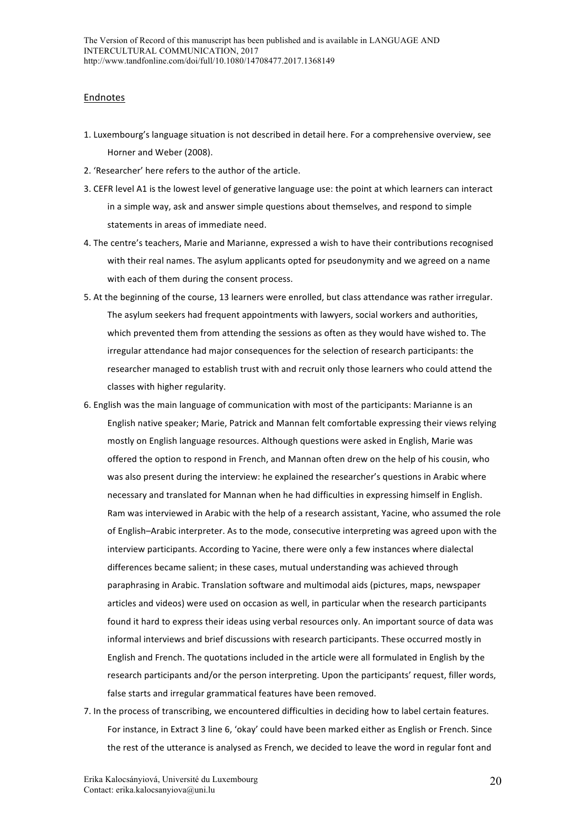### Endnotes

- 1. Luxembourg's language situation is not described in detail here. For a comprehensive overview, see Horner and Weber (2008).
- 2. 'Researcher' here refers to the author of the article.
- 3. CEFR level A1 is the lowest level of generative language use: the point at which learners can interact in a simple way, ask and answer simple questions about themselves, and respond to simple statements in areas of immediate need.
- 4. The centre's teachers, Marie and Marianne, expressed a wish to have their contributions recognised with their real names. The asylum applicants opted for pseudonymity and we agreed on a name with each of them during the consent process.
- 5. At the beginning of the course, 13 learners were enrolled, but class attendance was rather irregular. The asylum seekers had frequent appointments with lawyers, social workers and authorities, which prevented them from attending the sessions as often as they would have wished to. The irregular attendance had major consequences for the selection of research participants: the researcher managed to establish trust with and recruit only those learners who could attend the classes with higher regularity.
- 6. English was the main language of communication with most of the participants: Marianne is an English native speaker; Marie, Patrick and Mannan felt comfortable expressing their views relying mostly on English language resources. Although questions were asked in English, Marie was offered the option to respond in French, and Mannan often drew on the help of his cousin, who was also present during the interview: he explained the researcher's questions in Arabic where necessary and translated for Mannan when he had difficulties in expressing himself in English. Ram was interviewed in Arabic with the help of a research assistant, Yacine, who assumed the role of English–Arabic interpreter. As to the mode, consecutive interpreting was agreed upon with the interview participants. According to Yacine, there were only a few instances where dialectal differences became salient; in these cases, mutual understanding was achieved through paraphrasing in Arabic. Translation software and multimodal aids (pictures, maps, newspaper articles and videos) were used on occasion as well, in particular when the research participants found it hard to express their ideas using verbal resources only. An important source of data was informal interviews and brief discussions with research participants. These occurred mostly in English and French. The quotations included in the article were all formulated in English by the research participants and/or the person interpreting. Upon the participants' request, filler words, false starts and irregular grammatical features have been removed.
- 7. In the process of transcribing, we encountered difficulties in deciding how to label certain features. For instance, in Extract 3 line 6, 'okay' could have been marked either as English or French. Since the rest of the utterance is analysed as French, we decided to leave the word in regular font and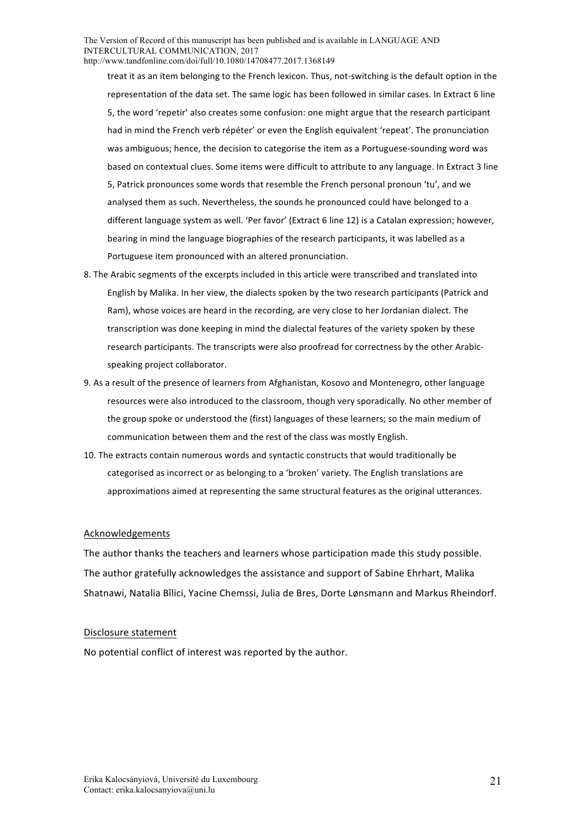treat it as an item belonging to the French lexicon. Thus, not-switching is the default option in the representation of the data set. The same logic has been followed in similar cases. In Extract 6 line 5, the word 'repetir' also creates some confusion: one might argue that the research participant had in mind the French verb répéter' or even the English equivalent 'repeat'. The pronunciation was ambiguous; hence, the decision to categorise the item as a Portuguese-sounding word was based on contextual clues. Some items were difficult to attribute to any language. In Extract 3 line 5, Patrick pronounces some words that resemble the French personal pronoun 'tu', and we analysed them as such. Nevertheless, the sounds he pronounced could have belonged to a different language system as well. 'Per favor' (Extract 6 line 12) is a Catalan expression; however, bearing in mind the language biographies of the research participants, it was labelled as a Portuguese item pronounced with an altered pronunciation.

- 8. The Arabic segments of the excerpts included in this article were transcribed and translated into English by Malika. In her view, the dialects spoken by the two research participants (Patrick and Ram), whose voices are heard in the recording, are very close to her Jordanian dialect. The transcription was done keeping in mind the dialectal features of the variety spoken by these research participants. The transcripts were also proofread for correctness by the other Arabicspeaking project collaborator.
- 9. As a result of the presence of learners from Afghanistan, Kosovo and Montenegro, other language resources were also introduced to the classroom, though very sporadically. No other member of the group spoke or understood the (first) languages of these learners; so the main medium of communication between them and the rest of the class was mostly English.
- 10. The extracts contain numerous words and syntactic constructs that would traditionally be categorised as incorrect or as belonging to a 'broken' variety. The English translations are approximations aimed at representing the same structural features as the original utterances.

#### Acknowledgements

The author thanks the teachers and learners whose participation made this study possible. The author gratefully acknowledges the assistance and support of Sabine Ehrhart, Malika Shatnawi, Natalia Bîlici, Yacine Chemssi, Julia de Bres, Dorte Lønsmann and Markus Rheindorf.

#### Disclosure statement

No potential conflict of interest was reported by the author.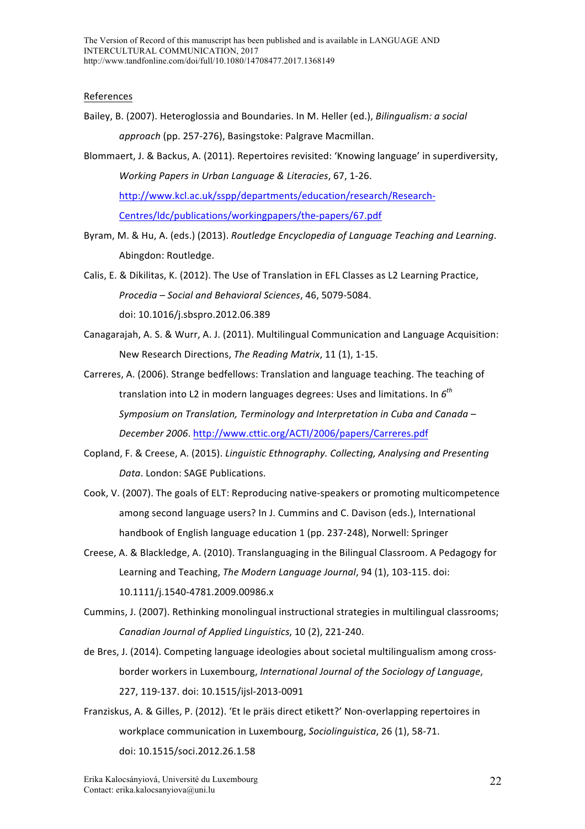### References

- Bailey, B. (2007). Heteroglossia and Boundaries. In M. Heller (ed.). *Bilingualism: a social approach* (pp. 257-276), Basingstoke: Palgrave Macmillan.
- Blommaert, J. & Backus, A. (2011). Repertoires revisited: 'Knowing language' in superdiversity, *Working Papers in Urban Language & Literacies,* 67, 1-26. http://www.kcl.ac.uk/sspp/departments/education/research/Research-Centres/ldc/publications/workingpapers/the-papers/67.pdf
- Byram, M. & Hu, A. (eds.) (2013). *Routledge Encyclopedia of Language Teaching and Learning*. Abingdon: Routledge.
- Calis, E. & Dikilitas, K. (2012). The Use of Translation in EFL Classes as L2 Learning Practice, *Procedia – Social and Behavioral Sciences*, 46, 5079-5084. doi: 10.1016/j.sbspro.2012.06.389
- Canagarajah, A. S. & Wurr, A. J. (2011). Multilingual Communication and Language Acquisition: New Research Directions, *The Reading Matrix*, 11 (1), 1-15.
- Carreres, A. (2006). Strange bedfellows: Translation and language teaching. The teaching of translation into L2 in modern languages degrees: Uses and limitations. In  $6^{th}$ *Symposium* on Translation, Terminology and Interpretation in Cuba and Canada – *December 2006*. http://www.cttic.org/ACTI/2006/papers/Carreres.pdf
- Copland, F. & Creese, A. (2015). *Linguistic Ethnography. Collecting, Analysing and Presenting* Data. London: SAGE Publications.
- Cook, V. (2007). The goals of ELT: Reproducing native-speakers or promoting multicompetence among second language users? In J. Cummins and C. Davison (eds.), International handbook of English language education 1 (pp. 237-248), Norwell: Springer
- Creese, A. & Blackledge, A. (2010). Translanguaging in the Bilingual Classroom. A Pedagogy for Learning and Teaching, *The Modern Language Journal*, 94 (1), 103-115. doi: 10.1111/j.1540-4781.2009.00986.x
- Cummins, J. (2007). Rethinking monolingual instructional strategies in multilingual classrooms; *Canadian Journal of Applied Linguistics*, 10 (2), 221-240.
- de Bres, J. (2014). Competing language ideologies about societal multilingualism among crossborder workers in Luxembourg, International Journal of the Sociology of Language, 227, 119-137. doi: 10.1515/ijsl-2013-0091
- Franziskus, A. & Gilles, P. (2012). 'Et le präis direct etikett?' Non-overlapping repertoires in workplace communication in Luxembourg, *Sociolinguistica*, 26 (1), 58-71. doi: 10.1515/soci.2012.26.1.58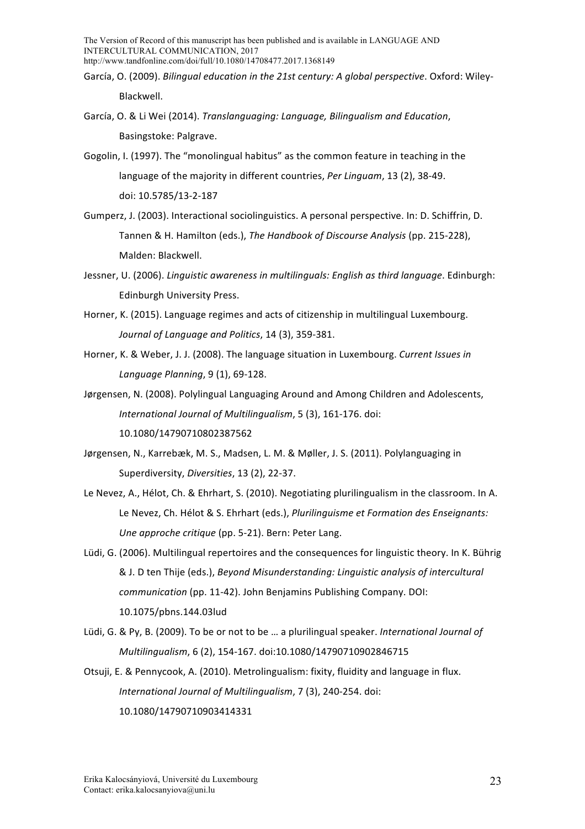- García, O. (2009). *Bilingual education in the 21st century: A global perspective*. Oxford: Wiley-Blackwell.
- García, O. & Li Wei (2014). *Translanguaging: Language, Bilingualism and Education.* Basingstoke: Palgrave.
- Gogolin, I. (1997). The "monolingual habitus" as the common feature in teaching in the language of the majority in different countries, Per Linguam, 13 (2), 38-49. doi: 10.5785/13-2-187
- Gumperz, J. (2003). Interactional sociolinguistics. A personal perspective. In: D. Schiffrin, D. Tannen & H. Hamilton (eds.), *The Handbook of Discourse Analysis* (pp. 215-228), Malden: Blackwell.
- Jessner, U. (2006). *Linguistic awareness in multilinguals: English as third language*. Edinburgh: Edinburgh University Press.
- Horner, K. (2015). Language regimes and acts of citizenship in multilingual Luxembourg. *Journal of Language and Politics*, 14 (3), 359-381.
- Horner, K. & Weber, J. J. (2008). The language situation in Luxembourg. Current Issues in *Language Planning*, 9 (1), 69-128.
- Jørgensen, N. (2008). Polylingual Languaging Around and Among Children and Adolescents. *International Journal of Multilingualism*, 5 (3), 161-176. doi: 10.1080/14790710802387562
- Jørgensen, N., Karrebæk, M. S., Madsen, L. M. & Møller, J. S. (2011). Polylanguaging in Superdiversity, *Diversities*, 13 (2), 22-37.
- Le Nevez, A., Hélot, Ch. & Ehrhart, S. (2010). Negotiating plurilingualism in the classroom. In A. Le Nevez, Ch. Hélot & S. Ehrhart (eds.), *Plurilinguisme et Formation des Enseignants: Une approche critique* (pp. 5-21). Bern: Peter Lang.
- Lüdi, G. (2006). Multilingual repertoires and the consequences for linguistic theory. In K. Bührig & J. D ten Thije (eds.), *Beyond Misunderstanding: Linguistic analysis of intercultural communication* (pp. 11-42). John Benjamins Publishing Company. DOI: 10.1075/pbns.144.03lud
- Lüdi, G. & Py, B. (2009). To be or not to be ... a plurilingual speaker. *International Journal of Multilingualism*, 6 (2), 154-167. doi:10.1080/14790710902846715
- Otsuji, E. & Pennycook, A. (2010). Metrolingualism: fixity, fluidity and language in flux. *International Journal of Multilingualism*, 7 (3), 240-254. doi: 10.1080/14790710903414331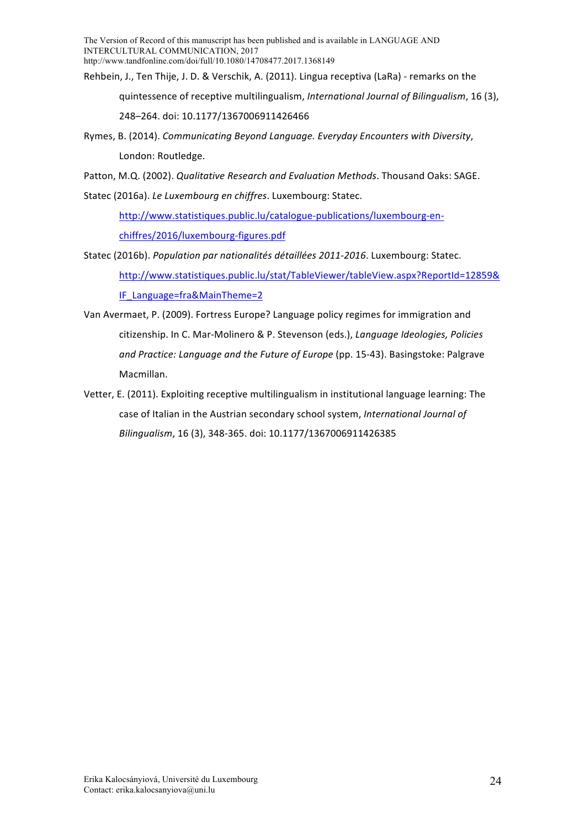- Rehbein, J., Ten Thije, J. D. & Verschik, A. (2011). Lingua receptiva (LaRa) remarks on the quintessence of receptive multilingualism, *International Journal of Bilingualism*, 16(3), 248-264. doi: 10.1177/1367006911426466
- Rymes, B. (2014). *Communicating Beyond Language. Everyday Encounters with Diversity*, London: Routledge.
- Patton, M.Q. (2002). *Qualitative Research and Evaluation Methods*. Thousand Oaks: SAGE.

Statec (2016a). *Le Luxembourg en chiffres*. Luxembourg: Statec.

http://www.statistiques.public.lu/catalogue-publications/luxembourg-enchiffres/2016/luxembourg-figures.pdf

- Statec (2016b). *Population par nationalités détaillées 2011-2016*. Luxembourg: Statec. http://www.statistiques.public.lu/stat/TableViewer/tableView.aspx?ReportId=12859& IF\_Language=fra&MainTheme=2
- Van Avermaet, P. (2009). Fortress Europe? Language policy regimes for immigration and citizenship. In C. Mar-Molinero & P. Stevenson (eds.), *Language Ideologies, Policies* and Practice: Language and the Future of Europe (pp. 15-43). Basingstoke: Palgrave Macmillan.
- Vetter, E. (2011). Exploiting receptive multilingualism in institutional language learning: The case of Italian in the Austrian secondary school system, *International Journal of Bilingualism*, 16 (3), 348-365. doi: 10.1177/1367006911426385